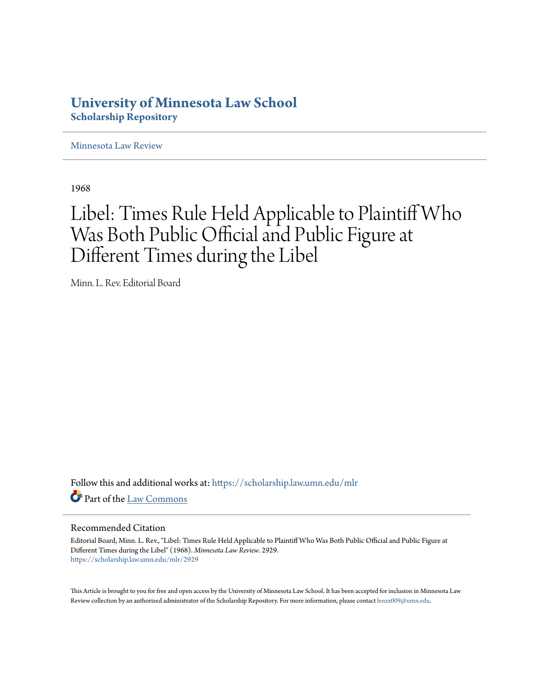## **University of Minnesota Law School [Scholarship Repository](https://scholarship.law.umn.edu?utm_source=scholarship.law.umn.edu%2Fmlr%2F2929&utm_medium=PDF&utm_campaign=PDFCoverPages)**

[Minnesota Law Review](https://scholarship.law.umn.edu/mlr?utm_source=scholarship.law.umn.edu%2Fmlr%2F2929&utm_medium=PDF&utm_campaign=PDFCoverPages)

1968

## Libel: Times Rule Held Applicable to Plaintiff Who Was Both Public Official and Public Figure at Different Times during the Libel

Minn. L. Rev. Editorial Board

Follow this and additional works at: [https://scholarship.law.umn.edu/mlr](https://scholarship.law.umn.edu/mlr?utm_source=scholarship.law.umn.edu%2Fmlr%2F2929&utm_medium=PDF&utm_campaign=PDFCoverPages) Part of the [Law Commons](http://network.bepress.com/hgg/discipline/578?utm_source=scholarship.law.umn.edu%2Fmlr%2F2929&utm_medium=PDF&utm_campaign=PDFCoverPages)

## Recommended Citation

Editorial Board, Minn. L. Rev., "Libel: Times Rule Held Applicable to Plaintiff Who Was Both Public Official and Public Figure at Different Times during the Libel" (1968). *Minnesota Law Review*. 2929. [https://scholarship.law.umn.edu/mlr/2929](https://scholarship.law.umn.edu/mlr/2929?utm_source=scholarship.law.umn.edu%2Fmlr%2F2929&utm_medium=PDF&utm_campaign=PDFCoverPages)

This Article is brought to you for free and open access by the University of Minnesota Law School. It has been accepted for inclusion in Minnesota Law Review collection by an authorized administrator of the Scholarship Repository. For more information, please contact [lenzx009@umn.edu.](mailto:lenzx009@umn.edu)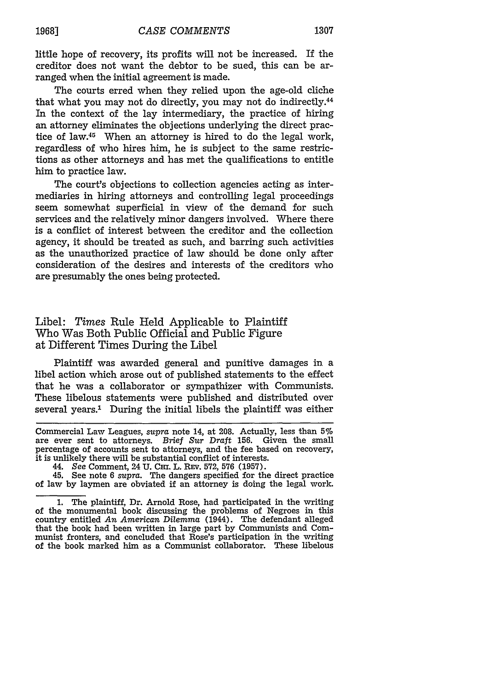little hope of recovery, its profits will not be increased. If the creditor does not want the debtor to be sued, this can be arranged when the initial agreement is made.

The courts erred when they relied upon the age-old cliche that what you may not do directly, you may not do indirectly.<sup>44</sup> In the context of the lay intermediary, the practice of hiring an attorney eliminates the objections underlying the direct practice of law.<sup>45</sup> When an attorney is hired to do the legal work, regardless of who hires him, he is subject to the same restrictions as other attorneys and has met the qualifications to entitle him to practice law.

The court's objections to collection agencies acting as intermediaries in hiring attorneys and controlling legal proceedings seem somewhat superficial in view of the demand for such services and the relatively minor dangers involved. Where there is a conflict of interest between the creditor and the collection agency, it should be treated as such, and barring such activities as the unauthorized practice of law should be done only after consideration of the desires and interests of the creditors who are presumably the ones being protected.

## Libel: *Times* Rule Held Applicable to Plaintiff Who Was Both Public Official and Public Figure at Different Times During the Libel

Plaintiff was awarded general and punitive damages in a libel action which arose out of published statements to the effect that he was a collaborator or sympathizer with Communists. These libelous statements were published and distributed over several years.' During the initial libels the plaintiff was either

Commercial Law Leagues, *supra* note 14, at 208. Actually, less than **5%** are ever sent to attorneys. *Brief Sur Draft* 156. Given the small percentage of accounts sent to attorneys, and the fee based on recovery, it is unlikely there will be substantial conflict of interests.

44. *See* Comment, 24 **U. CHI.** L. **REV.** 572, **576 (1957).**

45. See note 6 *supra.* The dangers specified for the direct practice of law by laymen are obviated if an attorney is doing the legal work.

1. The plaintiff, Dr. Arnold Rose, had participated in the writing of the monumental book discussing the problems of Negroes in this country entitled *An American Dilemma* (1944). The defendant alleged that the book had been written in large part by Communists and Communist fronters, and concluded that Rose's participation in the writing of the book marked him as a Communist collaborator. These libelous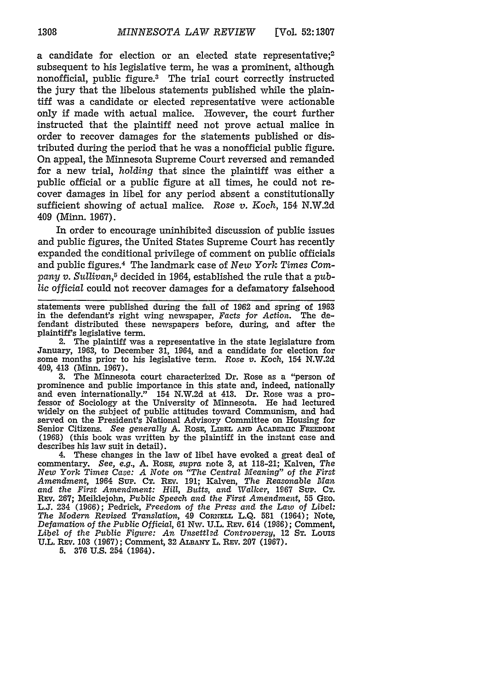a candidate for election or an elected state representative;<sup>2</sup> subsequent to his legislative term, he was a prominent, although nonofficial, public figure.3 The trial court correctly instructed the jury that the libelous statements published while the plaintiff was a candidate or elected representative were actionable only if made with actual malice. However, the court further instructed that the plaintiff need not prove actual malice in order to recover damages for the statements published or distributed during the period that he was a nonofficial public figure. On appeal, the Minnesota Supreme Court reversed and remanded for a new trial, *holding* that since the plaintiff was either a public official or a public figure at all times, he could not recover damages in libel for any period absent a constitutionally sufficient showing of actual malice. *Rose v. Koch,* 154 N.W.2d 409 (Minn. 1967).

In order to encourage uninhibited discussion of public issues and public figures, the United States Supreme Court has recently expanded the conditional privilege of comment on public officials and public figures. 4 The landmark case of *New York* Times Com*pany v. Sullivan,5* decided in 1964, established the rule that a public official could not recover damages for a defamatory falsehood

statements were published during the fall of 1962 and spring of 1963 in the defendant's right wing newspaper, *Facts for Action*. The defendant distributed these newspapers before, during, and after the plaintiff's legislative term.

2. The plaintiff was a representative in the state legislature from January, 1963, to December **31,** 1964, and a candidate for election for some months prior to his legislative term. Rose *v. Koch,* 154 N.W.2d 409, 413 (Minn. 1967).

3. The Minnesota court characterized Dr. Rose as a "person of prominence and public importance in this state and, indeed, nationally and even internationally." 154 N.W.2d at 413. Dr. Rose was a professor of Sociology at the University of Minnesota. He had lectured widely on the subject of public attitudes toward Communism, and had served on the President's National Advisory Committee on Housing for Senior Citizens. See generally A. Rose, LIBEL AND ACADENIC FREEDOM (1968) (this book was written by the plaintiff in the instant case and describes his law suit in detail).

4. These changes in the law of libel have evoked a great deal of commentary. *See, e.g.,* A. RosE, *supra* note 3, at 118-21; Kalven, *The New York Times Case: A Note on "The Central Meaning"* of *the First Amendment,* 1964 Sup. CT. REV. 191; Kalven, *The Reasonable Man* and *the First Amendment: Hill, Butts,* and *Walker,* 1967 SUiP. CT. REv. 267; Meildejohn, *Public* Speech and *the First Amendment,* 55 GEO. L.J. 234 (1966); Pedrick, Freedom of the *Press and* the *Law of Libel: The Modern Revised Translation, 49 Cornell L.Q. 581 (1964); Note, Defamation* of *the Public Official,* 61 Nw. U.L. REv. 614 (1966); Comment, Libel of the Public Figure: An Unsettled Controversy, 12 Sr. Louis U.L. REv. 103 (1967); Comment, 32 **ALBANY** L. REv. 207 (1967).

5. **376** U.S. 254 (1964).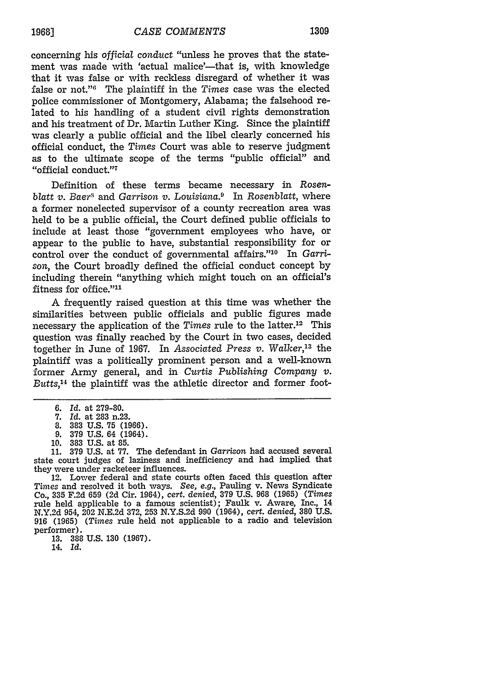concerning his *official* conduct "unless he proves that the statement was made with 'actual malice'—that is, with knowledge that it was false or with reckless disregard of whether it was false or not."" The plaintiff in the *Times* case was the elected police commissioner of Montgomery, Alabama; the falsehood related to his handling of a student civil rights demonstration and his treatment of Dr. Martin Luther King. Since the plaintiff was clearly a public official and the libel clearly concerned his official conduct, the *Times* Court was able to reserve judgment as to the ultimate scope of the terms "public official" and "official conduct."7

Definition of these terms became necessary in *Rosenblatt v. Baers* and *Garrison v. Louisiana.9* In *Rosenblatt,* where a former nonelected supervisor of a county recreation area was held to be a public official, the Court defined public officials to include at least those "government employees who have, or appear to the public to have, substantial responsibility for or control over the conduct of governmental affairs."'10 In *Garrison,* the Court broadly defined the official conduct concept by including therein "anything which might touch on an official's fitness for office."<sup>11</sup>

A frequently raised question at this time was whether the similarities between public officials and public figures made necessary the application of the *Times* rule to the latter.<sup>12</sup> This question was finally reached by the Court in two cases, decided together in June of 1967. In *Associated Press v. Walker,13* the plaintiff was a politically prominent person and a well-known former Army general, and in *Curtis Publishing Company v. Butts, <sup>4</sup>*the plaintiff was the athletic director and former foot-

**13. 388 U.S. 130 (1967).** 14. *Id.*

<sup>6.</sup> *Id.* at 279-80.

**<sup>7.</sup>** *Id.* at **283** n.23.

**<sup>8. 383</sup> U.S. 75 (1966).**

<sup>9. 379</sup> U.S. 64 (1964). 10. 383 U.S. at 85.

<sup>11. 379</sup> U.S. at 77. The defendant in *Garrison* had accused several state court judges of laziness and inefficiency and had implied that they were under racketeer influences.

<sup>12.</sup> Lower federal and state courts often faced this question after *Times* and resolved it both ways. *See, e.g.,* Pauling v. News Syndicate Co., 335 F.2d 659 (2d Cir. 1964), *cert. denied,* 379 U.S. 968 (1965) *(Times* rule held applicable to a famous scientist); Faulk v. Aware, Inc., 14 N.Y.2d 954, 202 N.E.2d 372, 253 N.Y.S.2d 990 (1964), *cert. denied,* 380 U.S. **916 (1965)** *(Times* rule held not applicable to a radio and television performer).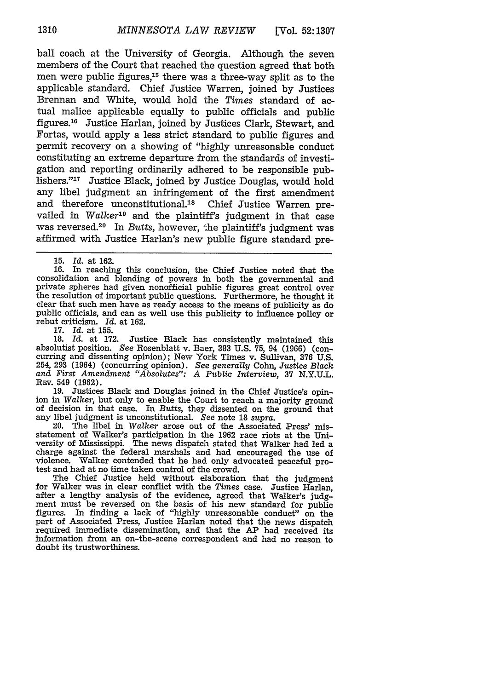ball coach at the University of Georgia. Although the seven members of the Court that reached the question agreed that both men were public figures,<sup>15</sup> there was a three-way split as to the applicable standard. Chief Justice Warren, joined by Justices Brennan and White, would hold the *Times* standard of actual malice applicable equally to public officials and public figures.<sup>16</sup> Justice Harlan, joined by Justices Clark, Stewart, and Fortas, would apply a less strict standard to public figures and permit recovery on a showing of "highly unreasonable conduct constituting an extreme departure from the standards of investigation and reporting ordinarily adhered to be responsible publishers."<sup>17</sup> Justice Black, joined by Justice Douglas, would hold any libel judgment an infringement of the first amendment and therefore unconstitutional.<sup>18</sup> Chief Justice Warren prevailed in *Walker'9* and the plaintiff's judgment in that case was reversed.20 In *Butts,* however, the plaintiff's judgment was affirmed with Justice Harlan's new public figure standard pre-

16. In reaching this conclusion, the Chief Justice noted that the consolidation and blending of powers in both the governmental and the resolution of important public questions. Furthermore, he thought it clear that such men have as ready access to the means of publicity as do public officials, and can as well use this publicity to influence policy or rebut criticism. *Id.* at 162.

17. *Id.* at 155.

18. *Id.* at 172. Justice Black has consistently maintained this absolutist position. *See* Rosenblatt v. Baer, **383** U.S. **75,** 94 (1966) (con- curring and dissenting opinion); New York Times v. Sullivan, **376** U.S. 254, **293** (1964) (concurring opinion). *See* generally Cohn, Justice Black *and First Amendment "Absolutes": A Public Interview,* **37** N.Y.U.L. REv. 549 (1962).

19. Justices Black and Douglas joined in the Chief Justice's opinion in *Walker,* but only to enable the Court to reach a majority ground of decision in that case. In *Butts,* they dissented on the ground that any libel judgment is unconstitutional. *See* note 18 *supra.*

20. The libel in *Walker* arose out of the Associated Press' misstatement of Walker's participation in the 1962 race riots at the Unicharge against the federal marshals and had encouraged the use of violence. Walker contended that he had only advocated peaceful protest and had at no time taken control of the crowd.

The Chief Justice held without elaboration that the judgment for Walker was in clear conflict with the *Times* case. Justice Harlan, after a lengthy analysis of the evidence, agreed that Walker's judgment must be reversed on the basis of his new standard for public figures. In finding a lack of "highly unreasonable conduct" on the part of Associated Press, Justice Harlan noted that the news dispatch required immediate dissemination, and that the AP had received its information from an on-the-scene correspondent and had no reason to doubt its trustworthiness.

**<sup>15.</sup>** *Id.* at 162.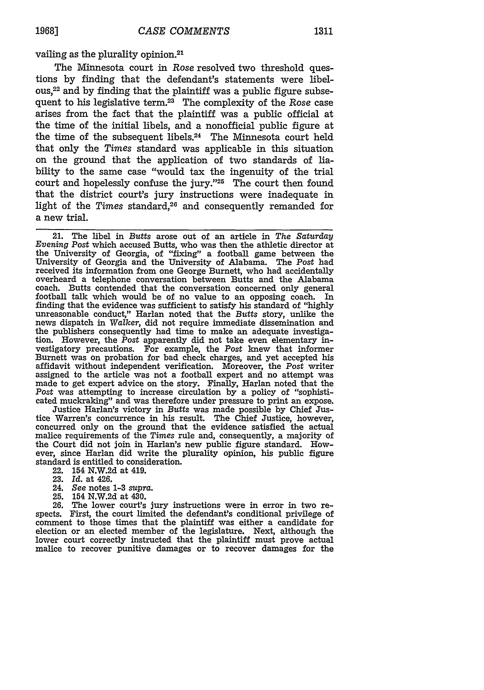vailing as the plurality opinion.21

The Minnesota court in *Rose* resolved two threshold questions by finding that the defendant's statements were libelous, 22 and by finding that the plaintiff was a public figure subsequent to his legislative term.23 The complexity of the *Rose* case arises from the fact that the plaintiff was a public official at the time of the initial libels, and a nonofficial public figure at the time of the subsequent libels.<sup>24</sup> The Minnesota court held that only the *Times* standard was applicable in this situation on the ground that the application of two standards of liability to the same case "would tax the ingenuity of the trial court and hopelessly confuse the jury."25 The court then found that the district court's jury instructions were inadequate in light of the *Times* standard,<sup>26</sup> and consequently remanded for a new trial.

21. The libel in *Butts* arose out of an article in *The Saturday Evening Post* which accused Butts, who was then the athletic director at the University of Georgia, of "fixing" a football game between the University of Georgia and the University of Alabama. The *Post* had received its information from one George Burnett, who had accidentally overheard a telephone conversation between Butts and the Alabama football talk which would be of no value to an opposing coach. In finding that the evidence was sufficient to satisfy his standard of "highly unreasonable conduct," Harlan noted that the *Butts* story, unlike the news dispatch in Walker, did not require immediate dissemination and the publishers consequently had time to make an adequate investiga- tion. However, the *Post* apparently did not take even elementary investigatory precautions. For example, the *Post* knew that informer Burnett was on probation for bad check charges, and yet accepted his affidavit without independent verification. Moreover, the *Post* writer assigned to the article was not a football expert and no attempt was made to get expert advice on the story. Finally, Harlan noted that the Post was attempting to increase circulation by a policy of "sophisti-

cated muckraking" and was therefore under pressure to print an expose.<br>Justice Harlan's victory in *Butts* was made possible by Chief Justice Warren's concurrence in his result. The Chief Justice, however, concurred only on the ground that the evidence satisfied the actual malice requirements of the *Times* rule and, consequently, a majority of the Court did not join in Harlan's new public figure standard. However, since Harlan did write the plurality opinion, his public figure standard is entitled to consideration.

- 22. 154 N.W.2d at 419.
- 23. *Id.* at 426.
- 24. See notes **1-3** *supra.*
- **25.** 154 N.W.2d at 430.

26. The lower court's jury instructions were in error in two re- spects. First, the court limited the defendant's conditional privilege of comment to those times that the plaintiff was either a candidate for election or an elected member of the legislature. Next, although the lower court correctly instructed that the plaintiff must prove actual malice to recover punitive damages or to recover damages for the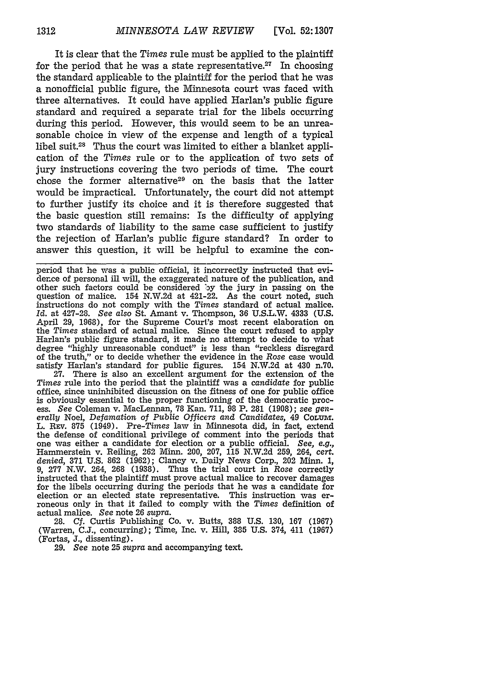It is clear that the *Times* rule must be applied to the plaintiff for the period that he was a state representative.<sup>27</sup> In choosing the standard applicable to the plaintiff for the period that he was a nonofficial public figure, the Minnesota court was faced with three alternatives. It could have applied Harlan's public figure standard and required a separate trial for the libels occurring during this period. However, this would seem to be an unreasonable choice in view of the expense and length of a typical libel suit.2 8 Thus the court was limited to either a blanket application of the *Times* rule or to the application of two sets of jury instructions covering the two periods of time. The court chose the former alternative<sup>29</sup> on the basis that the latter would be impractical. Unfortunately, the court did not attempt to further justify its choice and it is therefore suggested that the basic question still remains: Is the difficulty of applying two standards of liability to the same case sufficient to justify the rejection of Harlan's public figure standard? In order to answer this question, it will be helpful to examine the con-

period that he was a public official, it incorrectly instructed that evidence of personal ill will, the exaggerated nature of the publication, and other such factors could be considered oy the jury in passing on the question of malice. 154 N.W.2d at 421-22. As the court noted, such instructions do not comply with the *Times* standard of actual malice. *Id.* at 427-28. *See also* St. Amant v. Thompson, 36 U.S.L.W. 4333 (U.S. April 29, 1968), for the Supreme Court's most recent elaboration on the *Times* standard of actual malice. Since the court refused to apply Harlan's public figure standard, it made no attempt to decide to what degree "highly unreasonable conduct" is less than "reckless disregard of the truth," or to decide whether the evidence in the *Rose* case would satisfy Harlan's standard for public figures. 154 N.W.2d at 430 n.70. **27.** There is also an excellent argument for the extension of the *Times* rule into the period that the plaintiff was a *candidate* for public office, since uninhibited discussion on the fitness of one for public office is obviously essential to the proper functioning of the democratic process. *See* Coleman v. MacLennan, **78** Kan. **711,** 98 P. 281 (1908); *see gen- erally* Noel, *Defamation* of *Public Officers and Candidates,* 49 COLmm. erally Noel, Defamation of Public Officers and Candidates, 49 COLUM.<br>L. REV. 875 (1949). Pre-Times law in Minnesota did, in fact, extend the defense of conditional privilege of comment into the periods that one was either a candidate for election or a public official. *See, e.g.,* Hammerstein v. Reiing, 262 Minn. 200, 207, 115 N.W.2d 259, 264, *cert. denied,* **371** U.S. 862 (1962); Clancy v. Daily News Corp., 202 Minn. 1, 9, 277 N.W. 264, 268 (1938). Thus the trial court in *Rose* correctly instructed that the plaintiff must prove actual malice to recover damages

for the libels occurring during the periods that he was a candidate for election or an elected state representative. This instruction was erroneous only in that it failed to comply with the *Times* definition of actual malice. *See* note 26 *supra.*

28. *Cf.* Curtis Publishing Co. v. Butts, 388 U.S. 130, **167** (1967) (Warren, C.J., concurring); Time, Inc. v. Hill, **335** U.S. 374, 411 (1967) (Fortas, **J.,** dissenting).

29. *See* note 25 *supra* and accompanying text.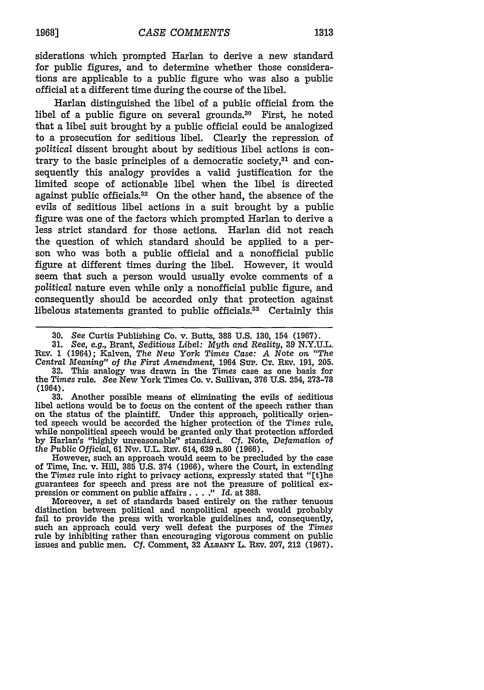siderations which prompted Harlan to derive a new standard for public figures, and to determine whether those considerations are applicable to a public figure who was also a public official at a different time during the course of the libel.

Harlan distinguished the libel of a public official from the libel of a public figure on several grounds.<sup>30</sup> First, he noted that a libel suit brought **by** a public official could be analogized to a prosecution for seditious libel. Clearly the repression of *political* dissent brought about **by** seditious libel actions is contrary to the basic principles of a democratic society,31 and consequently this analogy provides a valid justification for the limited scope of actionable libel when the libel is directed against public officials.<sup>32</sup> On the other hand, the absence of the evils of seditious libel actions in a suit brought **by** a public figure was one of the factors which prompted Harlan to derive a less strict standard for those actions. Harlan did not reach the question of which standard should be applied to a person who was both a public official and a nonofficial public figure at different times during the libel. However, it would seem that such a person would usually evoke comments of a *political* nature even while only a nonofficial public figure, and consequently should be accorded only that protection against libelous statements granted to public officials.<sup>33</sup> Certainly this

**31.** *See, e.g.,* Brant, *Seditious Libel: Myth and Reality,* **39 N.Y.U.L.** REV. **1** (1964); Kalven, *The New York Times Case: A Note* on *"The Central Meaning" of the First Amendment,* 1964 Sup. CT. REv. 191, 205. **32.** This analogy was drawn in the *Times* case as one basis for the *Times* rule. See New York Times Co. v. Sullivan, 376 U.S. 254, 273-78 (1964).

**33.** Another possible means of eliminating the evils of seditious libel actions would be to focus on the content of the speech rather than on the status of the plaintiff. Under this approach, politically oriented speech would be accorded the higher protection **of** the *Times* rule, while nonpolitical speech would be granted only that protection afforded by Harlan's "highly unreasonable" standard. Cf. Note, *Defamation of the Public Official,* 61 Nw. U.L. REv. 614, 629 n.80 (1966).

However, such an approach would seem to be precluded by the case of Time, Inc. v. Hill, **385** U.S. 374 (1966), where the Court, in extending the *Times* rule into right to privacy actions, expressly stated that "[t]he guarantees for speech and press are not the pressure of political expression or comment on public affairs **.... "** *Id.* at 388.

Moreover, a set of standards based entirely on the rather tenuous distinction between political and nonpolitical speech would probably fail to provide the press with workable guidelines and, consequently, fail to provide the press with workable guidelines and, consequently, such an approach could very well defeat the purposes of the *Times* rule by inhibiting rather than encouraging vigorous comment on public issues and public men. Cf. Comment, **32 ALBANY** L. REv. 207, 212 (1967).

**<sup>30.</sup>** See Curtis Publishing Co. v. Butts, **388 U.S. 130,** 154 **(1967).**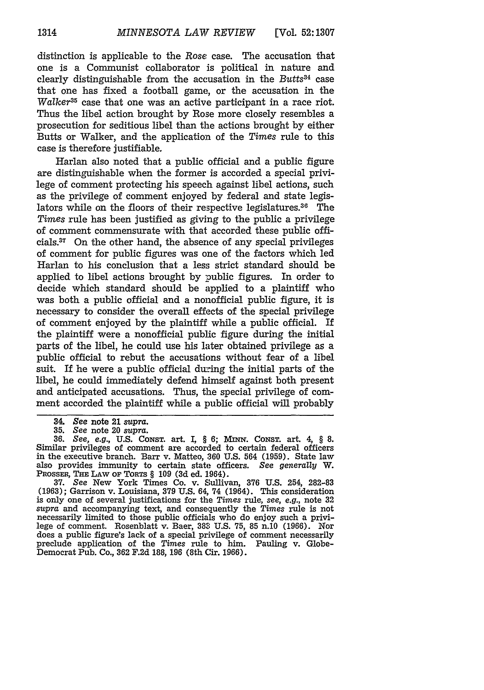distinction is applicable to the *Rose* case. The accusation that one is a Communist collaborator is political in nature and clearly distinguishable from the accusation in the *Butts34* case that one has fixed a football game, or the accusation in the *Walker35* case that one was an active participant in a race riot. Thus the libel action brought by Rose more closely resembles a prosecution for seditious libel than the actions brought by either Butts or Walker, and the application of the *Times* rule to this case is therefore justifiable.

Harlan also noted that a public official and a public figure are distinguishable when the former is accorded a special privilege of comment protecting his speech against libel actions, such as the privilege of comment enjoyed by federal and state legislators while on the floors of their respective legislatures. $36$  The *Times* rule has been justified as giving to the public a privilege of comment commensurate with that accorded these public officials.37 On the other hand, the absence of any special privileges of comment for public figures was one of the factors which led Harlan to his conclusion that a less strict standard should be applied to libel actions brought by public figures. In order to decide which standard should be applied to a plaintiff who was both a public official and a nonofficial public figure, it is necessary to consider the overall effects of the special privilege of comment enjoyed by the plaintiff while a public official. If the plaintiff were a nonofficial public figure during the initial parts of the libel, he could use his later obtained privilege as a public official to rebut the accusations without fear of a libel suit. If he were a public official during the initial parts of the libel, he could immediately defend himself against both present and anticipated accusations. Thus, the special privilege of comment accorded the plaintiff while a public official will probably

**35.** *See* note 20 *supra.* **36.** *See, e.g.,* U.S. **CONST.** art. I, § 6; *Mmn* . CONsT. art. 4, § 8. Similar privileges of comment are accorded to certain federal officers in the executive branch. Barr v. Matteo, 360 U.S. 564 (1959). State law also provides immunity to certain state officers. *See generally* W. **PROSSR, THE** LAW OF **TORTS** § 109 **(3d** ed. 1964). **37.** See New York Times Co. v. Sullivan, **376** U.S. 254, 282-83

(1963); Garrison v. Louisiana, **379** U.S. 64, 74 (1964). This consideration is only one of several justifications for the *Times* rule, *see, e.g.,* note **32** *supra* and accompanying text, and consequently the *Times* rule is not necessarily limited to those public officials who do enjoy such a privi- lege of comment. Rosenblatt v. Baer, **388'** U.S. **75,** 85 n.10 (1966). Nor does a public figure's lack of a special privilege of comment necessarily preclude application of the *Times* rule to him. Pauling v. Globe-Democrat Pub. Co., **362** F.2d 188, 196 (8th Cir. 1966).

*<sup>34.</sup> See* note 21 *supra.*